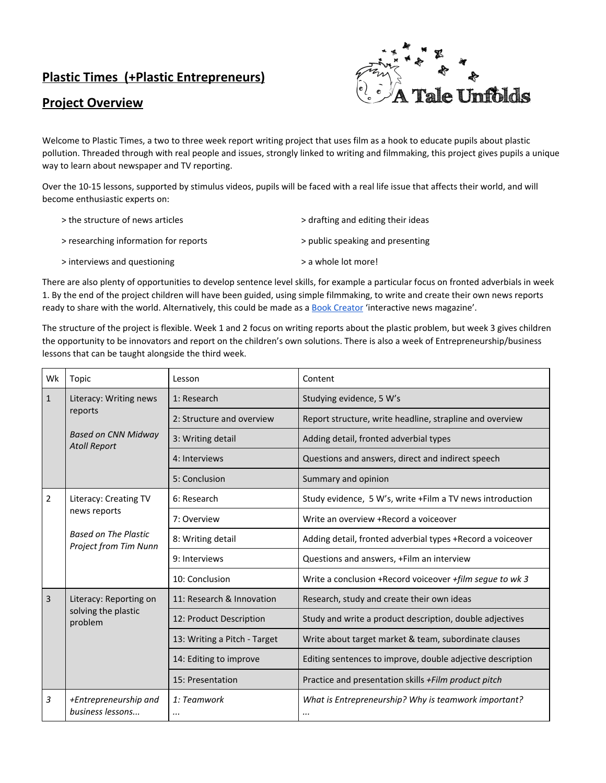## **Plastic Times (+Plastic Entrepreneurs)**

## **Project Overview**



Welcome to Plastic Times, a two to three week report writing project that uses film as a hook to educate pupils about plastic pollution. Threaded through with real people and issues, strongly linked to writing and filmmaking, this project gives pupils a unique way to learn about newspaper and TV reporting.

Over the 10-15 lessons, supported by stimulus videos, pupils will be faced with a real life issue that affects their world, and will become enthusiastic experts on:

| > the structure of news articles      | > drafting and editing their ideas |
|---------------------------------------|------------------------------------|
| > researching information for reports | > public speaking and presenting   |
| > interviews and questioning          | > a whole lot more!                |

There are also plenty of opportunities to develop sentence level skills, for example a particular focus on fronted adverbials in week 1. By the end of the project children will have been guided, using simple filmmaking, to write and create their own news reports ready to share with the world. Alternatively, this could be made as a [Book Creator](http://bookcreator.com/) 'interactive news magazine'.

The structure of the project is flexible. Week 1 and 2 focus on writing reports about the plastic problem, but week 3 gives children the opportunity to be innovators and report on the children's own solutions. There is also a week of Entrepreneurship/business lessons that can be taught alongside the third week.

| Wk           | Topic                                                    | Lesson                       | Content                                                    |
|--------------|----------------------------------------------------------|------------------------------|------------------------------------------------------------|
| $\mathbf{1}$ | Literacy: Writing news<br>reports                        | 1: Research                  | Studying evidence, 5 W's                                   |
|              |                                                          | 2: Structure and overview    | Report structure, write headline, strapline and overview   |
|              | <b>Based on CNN Midway</b><br><b>Atoll Report</b>        | 3: Writing detail            | Adding detail, fronted adverbial types                     |
|              |                                                          | 4: Interviews                | Questions and answers, direct and indirect speech          |
|              |                                                          | 5: Conclusion                | Summary and opinion                                        |
| 2            | Literacy: Creating TV<br>news reports                    | 6: Research                  | Study evidence, 5 W's, write +Film a TV news introduction  |
|              |                                                          | 7: Overview                  | Write an overview +Record a voiceover                      |
|              | <b>Based on The Plastic</b><br>Project from Tim Nunn     | 8: Writing detail            | Adding detail, fronted adverbial types +Record a voiceover |
|              |                                                          | 9: Interviews                | Questions and answers, +Film an interview                  |
|              |                                                          | 10: Conclusion               | Write a conclusion +Record voiceover +film segue to wk 3   |
| 3            | Literacy: Reporting on<br>solving the plastic<br>problem | 11: Research & Innovation    | Research, study and create their own ideas                 |
|              |                                                          | 12: Product Description      | Study and write a product description, double adjectives   |
|              |                                                          | 13: Writing a Pitch - Target | Write about target market & team, subordinate clauses      |
|              |                                                          | 14: Editing to improve       | Editing sentences to improve, double adjective description |
|              |                                                          | 15: Presentation             | Practice and presentation skills +Film product pitch       |
| 3            | +Entrepreneurship and<br>business lessons                | 1: Teamwork<br>              | What is Entrepreneurship? Why is teamwork important?<br>   |